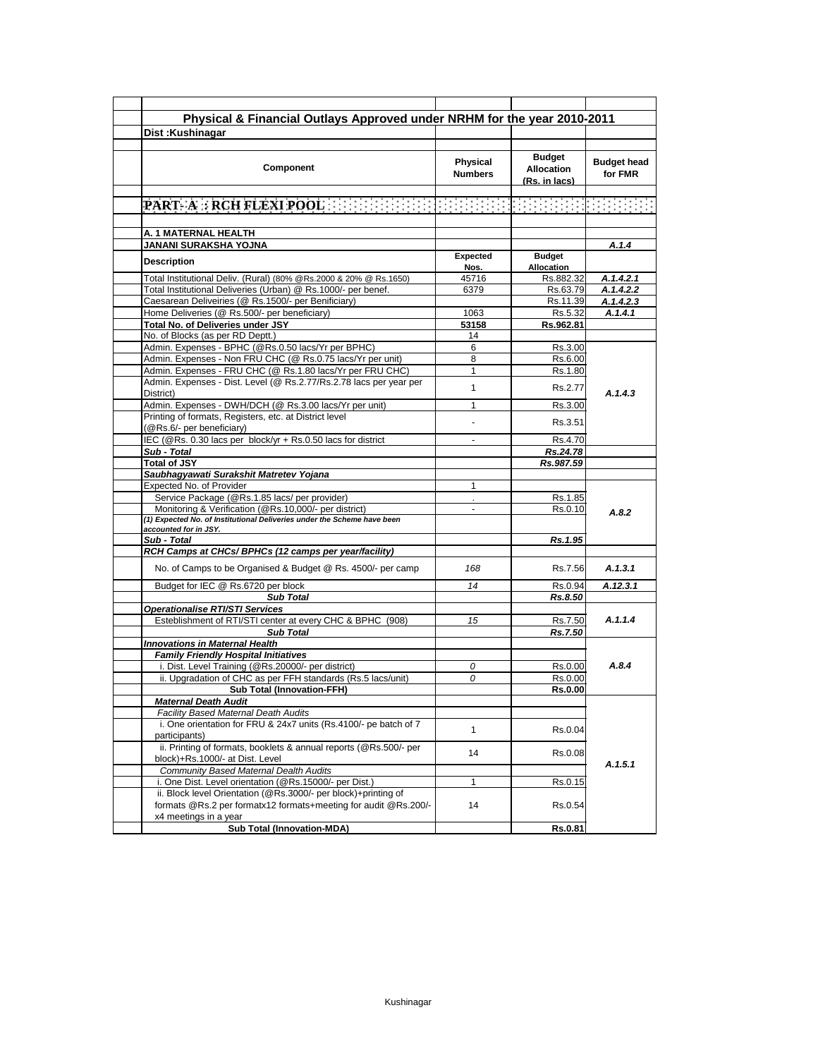| Physical & Financial Outlays Approved under NRHM for the year 2010-2011<br>Dist: Kushinagar                                                                |                            |                                                     |                               |
|------------------------------------------------------------------------------------------------------------------------------------------------------------|----------------------------|-----------------------------------------------------|-------------------------------|
|                                                                                                                                                            |                            |                                                     |                               |
|                                                                                                                                                            |                            |                                                     |                               |
| Component                                                                                                                                                  | Physical<br><b>Numbers</b> | <b>Budget</b><br><b>Allocation</b><br>(Rs. in lacs) | <b>Budget head</b><br>for FMR |
| PART-ARRCHFLEXIPOOLED EDED ENDED ENDED ENDED ENDED                                                                                                         |                            |                                                     |                               |
|                                                                                                                                                            |                            |                                                     |                               |
| A. 1 MATERNAL HEALTH                                                                                                                                       |                            |                                                     |                               |
| JANANI SURAKSHA YOJNA                                                                                                                                      |                            |                                                     | A.1.4                         |
| <b>Description</b>                                                                                                                                         | Expected<br>Nos.           | <b>Budget</b><br><b>Allocation</b>                  |                               |
| Total Institutional Deliv. (Rural) (80% @Rs.2000 & 20% @ Rs.1650)                                                                                          | 45716                      | Rs.882.32                                           | A.1.4.2.1                     |
| Total Institutional Deliveries (Urban) @ Rs.1000/- per benef.                                                                                              | 6379                       | Rs.63.79                                            | A.1.4.2.2                     |
| Caesarean Deliveiries (@ Rs.1500/- per Benificiary)                                                                                                        |                            | Rs.11.39                                            | A.1.4.2.3                     |
| Home Deliveries (@ Rs.500/- per beneficiary)                                                                                                               | 1063                       | Rs.5.32                                             | A.1.4.1                       |
| Total No. of Deliveries under JSY                                                                                                                          | 53158                      | Rs.962.81                                           |                               |
| No. of Blocks (as per RD Deptt.)<br>Admin. Expenses - BPHC (@Rs.0.50 lacs/Yr per BPHC)                                                                     | 14<br>6                    | Rs.3.00                                             |                               |
| Admin. Expenses - Non FRU CHC (@ Rs.0.75 lacs/Yr per unit)                                                                                                 | 8                          | Rs.6.00                                             |                               |
| Admin. Expenses - FRU CHC (@ Rs.1.80 lacs/Yr per FRU CHC)                                                                                                  | 1                          | Rs.1.80                                             |                               |
| Admin. Expenses - Dist. Level (@ Rs.2.77/Rs.2.78 lacs per year per<br>District)                                                                            | 1                          | Rs.2.77                                             | A.1.4.3                       |
| Admin. Expenses - DWH/DCH (@ Rs.3.00 lacs/Yr per unit)                                                                                                     | 1                          | Rs.3.00                                             |                               |
| Printing of formats, Registers, etc. at District level<br>(@Rs.6/- per beneficiary)                                                                        |                            | Rs.3.51                                             |                               |
| IEC (@Rs. 0.30 lacs per block/yr + Rs.0.50 lacs for district                                                                                               |                            | Rs.4.70                                             |                               |
| Sub - Total                                                                                                                                                |                            | Rs.24.78                                            |                               |
| <b>Total of JSY</b>                                                                                                                                        |                            | Rs.987.59                                           |                               |
| Saubhagyawati Surakshit Matretev Yojana                                                                                                                    |                            |                                                     |                               |
| Expected No. of Provider                                                                                                                                   | 1                          |                                                     |                               |
| Service Package (@Rs.1.85 lacs/ per provider)                                                                                                              |                            | Rs.1.85                                             |                               |
| Monitoring & Verification (@Rs.10,000/- per district)                                                                                                      | $\blacksquare$             | Rs.0.10                                             | A.8.2                         |
| (1) Expected No. of Institutional Deliveries under the Scheme have been                                                                                    |                            |                                                     |                               |
| accounted for in JSY.<br>Sub - Total                                                                                                                       |                            | Rs.1.95                                             |                               |
| RCH Camps at CHCs/ BPHCs (12 camps per year/facility)                                                                                                      |                            |                                                     |                               |
| No. of Camps to be Organised & Budget @ Rs. 4500/- per camp                                                                                                | 168                        | Rs.7.56                                             | A.1.3.1                       |
| Budget for IEC @ Rs.6720 per block                                                                                                                         | 14                         | Rs.0.94                                             | A.12.3.1                      |
| <b>Sub Total</b>                                                                                                                                           |                            | Rs.8.50                                             |                               |
| <b>Operationalise RTI/STI Services</b>                                                                                                                     |                            |                                                     |                               |
| Esteblishment of RTI/STI center at every CHC & BPHC (908)                                                                                                  | 15                         | Rs.7.50                                             | A.1.1.4                       |
| <b>Sub Total</b>                                                                                                                                           |                            | Rs.7.50                                             |                               |
| <b>Innovations in Maternal Health</b>                                                                                                                      |                            |                                                     |                               |
| <b>Family Friendly Hospital Initiatives</b>                                                                                                                |                            |                                                     |                               |
| i. Dist. Level Training (@Rs.20000/- per district)                                                                                                         | 0                          | Rs.0.00                                             | A.8.4                         |
| ii. Upgradation of CHC as per FFH standards (Rs.5 lacs/unit)<br><b>Sub Total (Innovation-FFH)</b>                                                          | 0                          | Rs.0.00                                             |                               |
|                                                                                                                                                            |                            | <b>Rs.0.00</b>                                      |                               |
|                                                                                                                                                            |                            |                                                     |                               |
| <b>Maternal Death Audit</b>                                                                                                                                |                            |                                                     |                               |
| Facility Based Maternal Death Audits<br>i. One orientation for FRU & 24x7 units (Rs.4100/- pe batch of 7                                                   |                            |                                                     |                               |
| participants)                                                                                                                                              | 1                          | Rs.0.04                                             |                               |
| ii. Printing of formats, booklets & annual reports (@Rs.500/- per<br>block)+Rs.1000/- at Dist. Level                                                       | 14                         | Rs.0.08                                             |                               |
| <b>Community Based Maternal Dealth Audits</b>                                                                                                              |                            |                                                     |                               |
| i. One Dist. Level orientation (@Rs.15000/- per Dist.)                                                                                                     | 1                          | Rs.0.15                                             |                               |
| ii. Block level Orientation (@Rs.3000/- per block)+printing of<br>formats @Rs.2 per formatx12 formats+meeting for audit @Rs.200/-<br>x4 meetings in a year | 14                         | Rs.0.54                                             | A.1.5.1                       |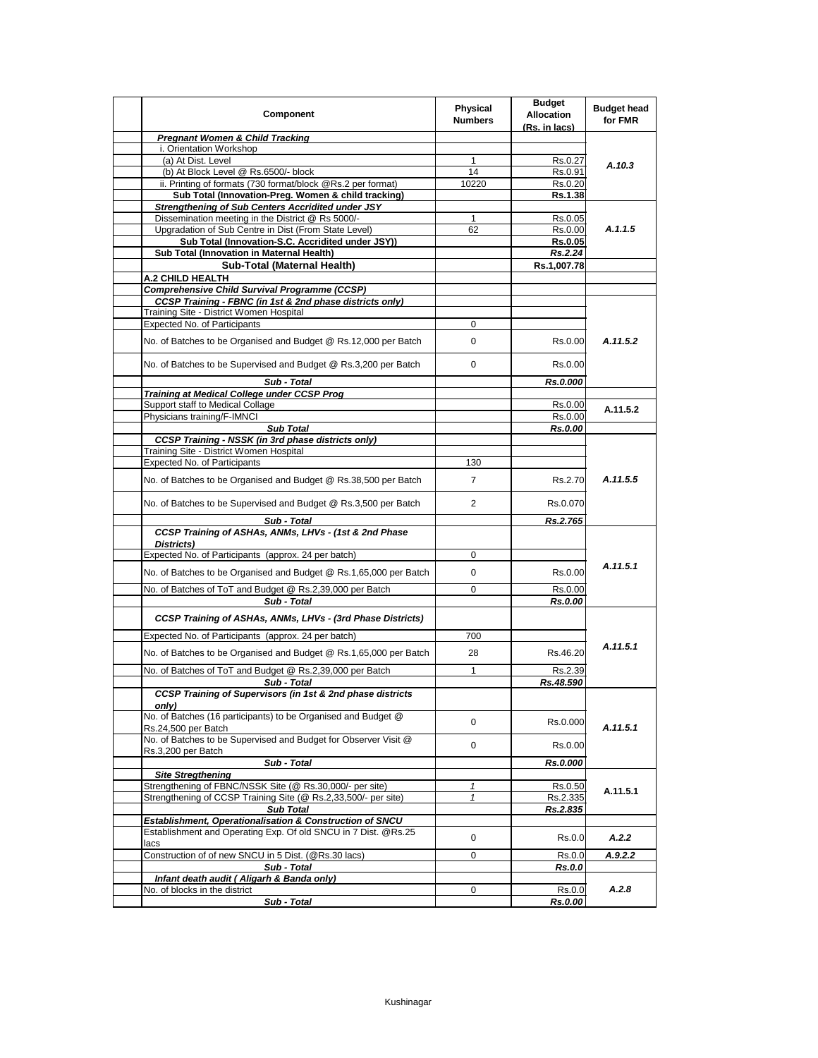| Component                                                                                                 | Physical<br><b>Numbers</b> | <b>Budget</b><br><b>Allocation</b><br>(Rs. in lacs) | <b>Budget head</b><br>for FMR |
|-----------------------------------------------------------------------------------------------------------|----------------------------|-----------------------------------------------------|-------------------------------|
| <b>Pregnant Women &amp; Child Tracking</b>                                                                |                            |                                                     |                               |
| i. Orientation Workshop                                                                                   |                            |                                                     | A.10.3                        |
| (a) At Dist. Level                                                                                        | $\mathbf{1}$               | Rs.0.27                                             |                               |
| (b) At Block Level @ Rs.6500/- block                                                                      | 14                         | Rs.0.91                                             |                               |
| ii. Printing of formats (730 format/block @Rs.2 per format)                                               | 10220                      | Rs.0.20                                             |                               |
| Sub Total (Innovation-Preg. Women & child tracking)                                                       |                            | Rs.1.38                                             |                               |
| <b>Strengthening of Sub Centers Accridited under JSY</b>                                                  |                            |                                                     |                               |
| Dissemination meeting in the District @ Rs 5000/-                                                         | $\mathbf{1}$<br>62         | Rs.0.05                                             | A.1.1.5                       |
| Upgradation of Sub Centre in Dist (From State Level)<br>Sub Total (Innovation-S.C. Accridited under JSY)) |                            | Rs.0.00<br><b>Rs.0.05</b>                           |                               |
| Sub Total (Innovation in Maternal Health)                                                                 |                            | Rs.2.24                                             |                               |
| Sub-Total (Maternal Health)                                                                               |                            | Rs.1,007.78                                         |                               |
| A.2 CHILD HEALTH                                                                                          |                            |                                                     |                               |
| <b>Comprehensive Child Survival Programme (CCSP)</b>                                                      |                            |                                                     |                               |
| CCSP Training - FBNC (in 1st & 2nd phase districts only)                                                  |                            |                                                     |                               |
| Training Site - District Women Hospital                                                                   |                            |                                                     |                               |
| <b>Expected No. of Participants</b>                                                                       | 0                          |                                                     |                               |
|                                                                                                           |                            |                                                     |                               |
| No. of Batches to be Organised and Budget @ Rs.12,000 per Batch                                           | 0                          | Rs.0.00                                             | A.11.5.2                      |
| No. of Batches to be Supervised and Budget @ Rs.3,200 per Batch                                           | 0                          | Rs.0.00                                             |                               |
| Sub - Total                                                                                               |                            | Rs.0.000                                            |                               |
| <b>Training at Medical College under CCSP Prog</b>                                                        |                            |                                                     |                               |
| Support staff to Medical Collage                                                                          |                            | Rs.0.00                                             | A.11.5.2                      |
| Physicians training/F-IMNCI                                                                               |                            | Rs.0.00                                             |                               |
| <b>Sub Total</b>                                                                                          |                            | <b>Rs.0.00</b>                                      |                               |
| <b>CCSP Training - NSSK (in 3rd phase districts only)</b><br>Training Site - District Women Hospital      |                            |                                                     |                               |
| Expected No. of Participants                                                                              | 130                        |                                                     |                               |
|                                                                                                           |                            |                                                     |                               |
| No. of Batches to be Organised and Budget @ Rs.38,500 per Batch                                           | $\overline{7}$             | Rs.2.70                                             | A.11.5.5                      |
| No. of Batches to be Supervised and Budget @ Rs.3,500 per Batch                                           | 2                          | Rs.0.070                                            |                               |
| Sub - Total                                                                                               |                            | Rs.2.765                                            |                               |
| CCSP Training of ASHAs, ANMs, LHVs - (1st & 2nd Phase<br>Districts)                                       |                            |                                                     |                               |
| Expected No. of Participants (approx. 24 per batch)                                                       | 0                          |                                                     |                               |
| No. of Batches to be Organised and Budget @ Rs.1,65,000 per Batch                                         | 0                          | Rs.0.00                                             | A.11.5.1                      |
| No. of Batches of ToT and Budget @ Rs.2,39,000 per Batch                                                  | 0                          | Rs.0.00                                             |                               |
| Sub - Total                                                                                               |                            | Rs.0.00                                             |                               |
| CCSP Training of ASHAs, ANMs, LHVs - (3rd Phase Districts)                                                |                            |                                                     |                               |
| Expected No. of Participants (approx. 24 per batch)                                                       | 700                        |                                                     |                               |
| No. of Batches to be Organised and Budget @ Rs.1,65,000 per Batch                                         | 28                         | Rs.46.20                                            | A.11.5.1                      |
| No. of Batches of ToT and Budget @ Rs.2,39,000 per Batch                                                  | $\mathbf{1}$               | Rs.2.39                                             |                               |
| Sub - Total                                                                                               |                            | Rs.48.590                                           |                               |
| <b>CCSP Training of Supervisors (in 1st &amp; 2nd phase districts</b><br>only)                            |                            |                                                     |                               |
| No. of Batches (16 participants) to be Organised and Budget @<br>Rs.24,500 per Batch                      | 0                          | Rs.0.000                                            | A.11.5.1                      |
| No. of Batches to be Supervised and Budget for Observer Visit @                                           | 0                          | Rs.0.00                                             |                               |
| Rs.3,200 per Batch<br>Sub - Total                                                                         |                            |                                                     |                               |
| <b>Site Stregthening</b>                                                                                  |                            | Rs.0.000                                            |                               |
| Strengthening of FBNC/NSSK Site (@ Rs.30,000/- per site)                                                  | 1                          | Rs.0.50                                             | A.11.5.1                      |
| Strengthening of CCSP Training Site (@ Rs.2,33,500/- per site)                                            | $\mathbf{1}$               | Rs.2.335                                            |                               |
| <b>Sub Total</b>                                                                                          |                            | Rs.2.835                                            |                               |
| Establishment, Operationalisation & Construction of SNCU                                                  |                            |                                                     |                               |
| Establishment and Operating Exp. Of old SNCU in 7 Dist. @Rs.25                                            | 0                          | Rs.0.0                                              | A.2.2                         |
| lacs                                                                                                      |                            |                                                     |                               |
| Construction of of new SNCU in 5 Dist. (@Rs.30 lacs)                                                      | 0                          | Rs.0.0                                              | A.9.2.2                       |
| Sub - Total<br>Infant death audit (Aligarh & Banda only)                                                  |                            | <b>Rs.0.0</b>                                       |                               |
| No. of blocks in the district                                                                             | 0                          | Rs.0.0                                              | A.2.8                         |
| Sub - Total                                                                                               |                            | Rs.0.00                                             |                               |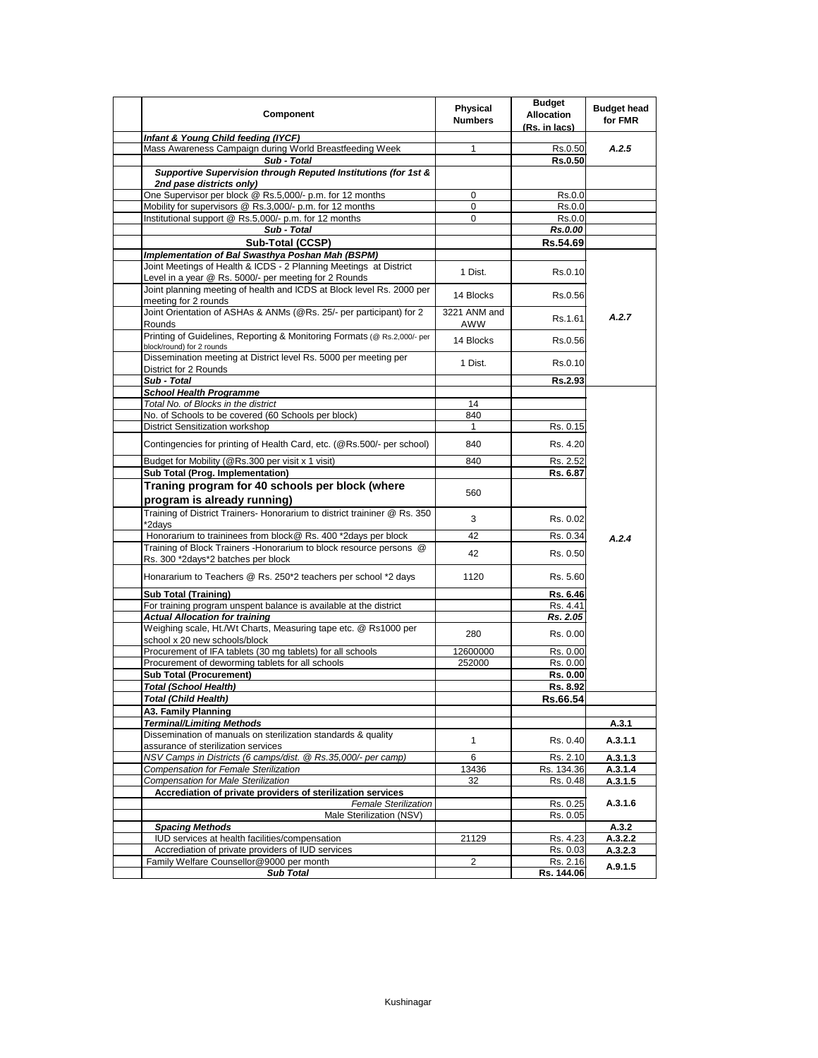| Component                                                                                                                                                             | Physical<br><b>Numbers</b> | <b>Budget</b><br><b>Allocation</b><br>(Rs. in lacs) | <b>Budget head</b><br>for FMR |
|-----------------------------------------------------------------------------------------------------------------------------------------------------------------------|----------------------------|-----------------------------------------------------|-------------------------------|
| Infant & Young Child feeding (IYCF)                                                                                                                                   |                            |                                                     |                               |
| Mass Awareness Campaign during World Breastfeeding Week                                                                                                               | 1                          | Rs.0.50                                             | A.2.5                         |
| Sub - Total                                                                                                                                                           |                            | <b>Rs.0.50</b>                                      |                               |
| Supportive Supervision through Reputed Institutions (for 1st &<br>2nd pase districts only)                                                                            |                            |                                                     |                               |
| One Supervisor per block @ Rs.5,000/- p.m. for 12 months                                                                                                              | 0                          | Rs.0.0                                              |                               |
| Mobility for supervisors @ Rs.3,000/- p.m. for 12 months                                                                                                              | 0                          | Rs.0.0                                              |                               |
| Institutional support @ Rs.5,000/- p.m. for 12 months                                                                                                                 | $\mathbf 0$                | Rs.0.0                                              |                               |
| Sub - Total                                                                                                                                                           |                            | Rs.0.00                                             |                               |
| Sub-Total (CCSP)                                                                                                                                                      |                            | Rs.54.69                                            |                               |
| Implementation of Bal Swasthya Poshan Mah (BSPM)                                                                                                                      |                            |                                                     |                               |
| Joint Meetings of Health & ICDS - 2 Planning Meetings at District<br>Level in a year @ Rs. 5000/- per meeting for 2 Rounds                                            | 1 Dist.                    | Rs.0.10                                             |                               |
| Joint planning meeting of health and ICDS at Block level Rs. 2000 per<br>meeting for 2 rounds                                                                         | 14 Blocks                  | Rs.0.56                                             |                               |
| Joint Orientation of ASHAs & ANMs (@Rs. 25/- per participant) for 2<br>Rounds                                                                                         | 3221 ANM and<br>AWW        | Rs.1.61                                             | A.2.7                         |
| Printing of Guidelines, Reporting & Monitoring Formats (@ Rs.2,000/- per<br>block/round) for 2 rounds                                                                 | 14 Blocks                  | Rs.0.56                                             |                               |
| Dissemination meeting at District level Rs. 5000 per meeting per<br>District for 2 Rounds                                                                             | 1 Dist.                    | Rs.0.10                                             |                               |
| Sub - Total                                                                                                                                                           |                            | Rs.2.93                                             |                               |
| <b>School Health Programme</b>                                                                                                                                        |                            |                                                     |                               |
| Total No. of Blocks in the district                                                                                                                                   | 14                         |                                                     |                               |
| No. of Schools to be covered (60 Schools per block)                                                                                                                   | 840                        |                                                     |                               |
| <b>District Sensitization workshop</b>                                                                                                                                | $\mathbf{1}$               | Rs. 0.15                                            |                               |
| Contingencies for printing of Health Card, etc. (@Rs.500/- per school)                                                                                                | 840                        | Rs. 4.20                                            |                               |
| Budget for Mobility (@Rs.300 per visit x 1 visit)                                                                                                                     | 840                        | Rs. 2.52                                            |                               |
| Sub Total (Prog. Implementation)                                                                                                                                      |                            | Rs. 6.87                                            |                               |
| Traning program for 40 schools per block (where<br>program is already running)<br>Training of District Trainers- Honorarium to district traininer @ Rs. 350<br>*2days | 560<br>3                   | Rs. 0.02                                            |                               |
| Honorarium to traininees from block@ Rs. 400 *2days per block                                                                                                         | 42                         | Rs. 0.34                                            | A.2.4                         |
| Training of Block Trainers - Honorarium to block resource persons @<br>Rs. 300 *2days*2 batches per block                                                             | 42                         | Rs. 0.50                                            |                               |
| Honararium to Teachers @ Rs. 250*2 teachers per school *2 days                                                                                                        | 1120                       | Rs. 5.60                                            |                               |
| <b>Sub Total (Training)</b>                                                                                                                                           |                            | Rs. 6.46                                            |                               |
| For training program unspent balance is available at the district                                                                                                     |                            | Rs. 4.41                                            |                               |
| <b>Actual Allocation for training</b>                                                                                                                                 |                            | Rs. 2.05                                            |                               |
| Weighing scale, Ht./Wt Charts, Measuring tape etc. @ Rs1000 per<br>school x 20 new schools/block                                                                      | 280                        | Rs. 0.00                                            |                               |
| Procurement of IFA tablets (30 mg tablets) for all schools                                                                                                            | 12600000                   | Rs. 0.00                                            |                               |
| Procurement of deworming tablets for all schools                                                                                                                      | 252000                     | Rs. 0.00                                            |                               |
| <b>Sub Total (Procurement)</b>                                                                                                                                        |                            | Rs. 0.00                                            |                               |
| <b>Total (School Health)</b>                                                                                                                                          |                            | Rs. 8.92                                            |                               |
| <b>Total (Child Health)</b>                                                                                                                                           |                            | Rs.66.54                                            |                               |
| A3. Family Planning                                                                                                                                                   |                            |                                                     |                               |
| <b>Terminal/Limiting Methods</b>                                                                                                                                      |                            |                                                     | A.3.1                         |
| Dissemination of manuals on sterilization standards & quality<br>assurance of sterilization services                                                                  | $\mathbf{1}$               | Rs. 0.40                                            | A.3.1.1                       |
| NSV Camps in Districts (6 camps/dist. @ Rs.35,000/- per camp)                                                                                                         | 6                          | Rs. 2.10                                            | A.3.1.3                       |
| Compensation for Female Sterilization                                                                                                                                 | 13436                      | Rs. 134.36                                          | A.3.1.4                       |
| <b>Compensation for Male Sterilization</b>                                                                                                                            | 32                         | Rs. 0.48                                            | A.3.1.5                       |
| Accrediation of private providers of sterilization services                                                                                                           |                            |                                                     |                               |
| <b>Female Sterilization</b>                                                                                                                                           |                            | Rs. 0.25                                            | A.3.1.6                       |
| Male Sterilization (NSV)                                                                                                                                              |                            | Rs. 0.05                                            |                               |
| <b>Spacing Methods</b>                                                                                                                                                |                            |                                                     | A.3.2                         |
| IUD services at health facilities/compensation                                                                                                                        | 21129                      | Rs. 4.23                                            | A.3.2.2                       |
| Accrediation of private providers of IUD services                                                                                                                     |                            | Rs. 0.03                                            | A.3.2.3                       |
| Family Welfare Counsellor@9000 per month                                                                                                                              | $\overline{2}$             | Rs. 2.16                                            | A.9.1.5                       |
| <b>Sub Total</b>                                                                                                                                                      |                            | Rs. 144.06                                          |                               |
|                                                                                                                                                                       |                            |                                                     |                               |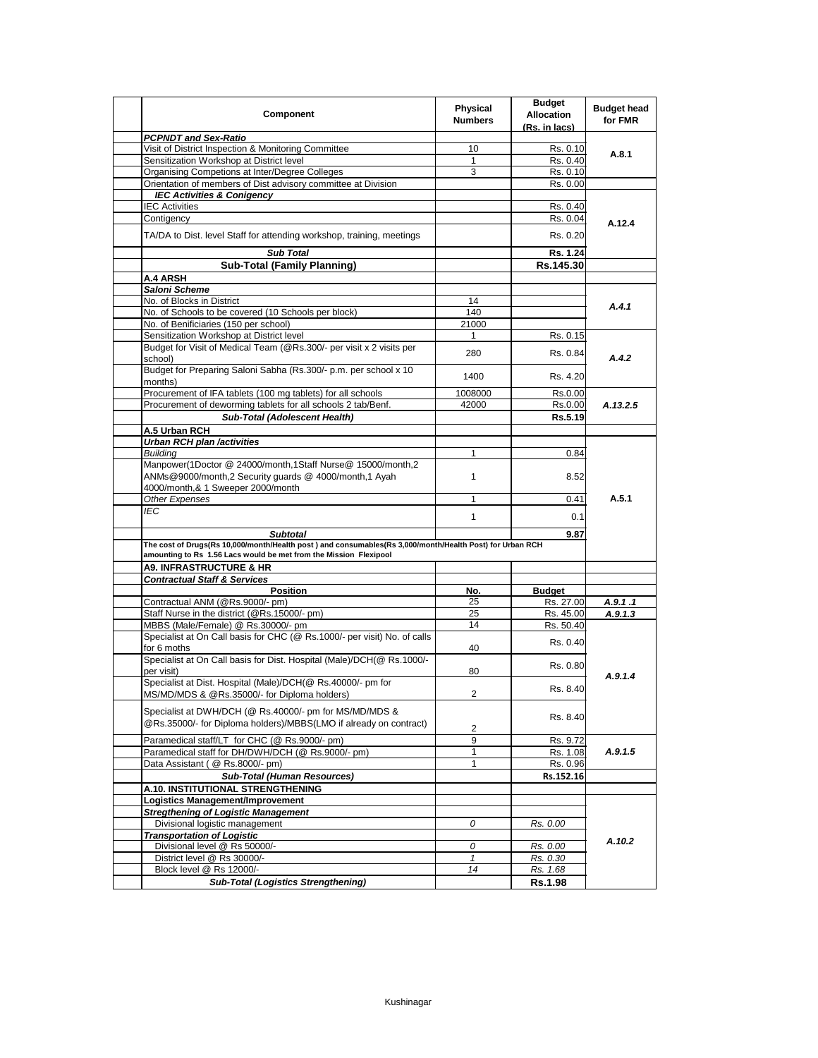| Component                                                                                                                                                                     | Physical<br><b>Numbers</b> | <b>Budget</b><br><b>Allocation</b><br>(Rs. in lacs) | <b>Budget head</b><br>for FMR |
|-------------------------------------------------------------------------------------------------------------------------------------------------------------------------------|----------------------------|-----------------------------------------------------|-------------------------------|
| <b>PCPNDT and Sex-Ratio</b>                                                                                                                                                   |                            |                                                     |                               |
| Visit of District Inspection & Monitoring Committee                                                                                                                           | 10                         | Rs. 0.10                                            | A.8.1                         |
| Sensitization Workshop at District level                                                                                                                                      | $\mathbf{1}$               | Rs. 0.40                                            |                               |
| Organising Competions at Inter/Degree Colleges                                                                                                                                | 3                          | Rs. 0.10                                            |                               |
| Orientation of members of Dist advisory committee at Division                                                                                                                 |                            | Rs. 0.00                                            |                               |
| <b>IEC Activities &amp; Conigency</b>                                                                                                                                         |                            |                                                     |                               |
| <b>IEC Activities</b>                                                                                                                                                         |                            | Rs. 0.40                                            |                               |
| Contigency                                                                                                                                                                    |                            | Rs. 0.04                                            | A.12.4                        |
| TA/DA to Dist. level Staff for attending workshop, training, meetings                                                                                                         |                            | Rs. 0.20                                            |                               |
| <b>Sub Total</b>                                                                                                                                                              |                            | Rs. 1.24                                            |                               |
| <b>Sub-Total (Family Planning)</b>                                                                                                                                            |                            | Rs.145.30                                           |                               |
| A.4 ARSH                                                                                                                                                                      |                            |                                                     |                               |
| Saloni Scheme                                                                                                                                                                 |                            |                                                     |                               |
| No. of Blocks in District                                                                                                                                                     | 14                         |                                                     |                               |
| No. of Schools to be covered (10 Schools per block)                                                                                                                           | 140                        |                                                     | A.4.1                         |
| No. of Benificiaries (150 per school)                                                                                                                                         | 21000                      |                                                     |                               |
| Sensitization Workshop at District level                                                                                                                                      | 1                          | Rs. 0.15                                            |                               |
| Budget for Visit of Medical Team (@Rs.300/- per visit x 2 visits per                                                                                                          |                            |                                                     |                               |
| school)                                                                                                                                                                       | 280                        | Rs. 0.84                                            | A.4.2                         |
| Budget for Preparing Saloni Sabha (Rs.300/- p.m. per school x 10<br>months)                                                                                                   | 1400                       | Rs. 4.20                                            |                               |
| Procurement of IFA tablets (100 mg tablets) for all schools                                                                                                                   | 1008000                    | Rs.0.00                                             |                               |
| Procurement of deworming tablets for all schools 2 tab/Benf.                                                                                                                  | 42000                      | Rs.0.00                                             | A.13.2.5                      |
| <b>Sub-Total (Adolescent Health)</b>                                                                                                                                          |                            | Rs.5.19                                             |                               |
| A.5 Urban RCH                                                                                                                                                                 |                            |                                                     |                               |
| <b>Urban RCH plan /activities</b>                                                                                                                                             |                            |                                                     |                               |
| <b>Buildina</b>                                                                                                                                                               | $\mathbf{1}$               | 0.84                                                |                               |
| Manpower(1Doctor @ 24000/month,1Staff Nurse@ 15000/month,2<br>ANMs@9000/month,2 Security guards @ 4000/month,1 Ayah                                                           | $\mathbf{1}$               | 8.52                                                |                               |
| 4000/month,& 1 Sweeper 2000/month                                                                                                                                             |                            |                                                     | A.5.1                         |
| Other Expenses                                                                                                                                                                | 1                          | 0.41                                                |                               |
| IEC                                                                                                                                                                           | $\mathbf{1}$               | 0.1                                                 |                               |
| <b>Subtotal</b>                                                                                                                                                               |                            | 9.87                                                |                               |
| The cost of Drugs(Rs 10,000/month/Health post) and consumables(Rs 3,000/month/Health Post) for Urban RCH<br>amounting to Rs 1.56 Lacs would be met from the Mission Flexipool |                            |                                                     |                               |
| <b>A9. INFRASTRUCTURE &amp; HR</b>                                                                                                                                            |                            |                                                     |                               |
| <b>Contractual Staff &amp; Services</b>                                                                                                                                       |                            |                                                     |                               |
| <b>Position</b>                                                                                                                                                               | No.                        | <b>Budget</b>                                       |                               |
| Contractual ANM (@Rs.9000/- pm)                                                                                                                                               | 25                         | Rs. 27.00                                           | A.9.1.1                       |
| Staff Nurse in the district (@Rs.15000/- pm)                                                                                                                                  | 25                         | Rs. 45.00                                           | A.9.1.3                       |
| MBBS (Male/Female) @ Rs.30000/- pm                                                                                                                                            | 14                         | Rs. 50.40                                           |                               |
| Specialist at On Call basis for CHC (@ Rs.1000/- per visit) No. of calls<br>for 6 moths                                                                                       | 40                         | Rs. 0.40                                            |                               |
| Specialist at On Call basis for Dist. Hospital (Male)/DCH(@ Rs.1000/-<br>per visit)                                                                                           | 80                         | Rs. 0.80                                            |                               |
| Specialist at Dist. Hospital (Male)/DCH(@ Rs.40000/- pm for<br>MS/MD/MDS & @Rs.35000/- for Diploma holders)                                                                   | $\overline{c}$             | Rs. 8.40                                            | A.9.1.4                       |
| Specialist at DWH/DCH (@ Rs.40000/- pm for MS/MD/MDS &<br>@Rs.35000/- for Diploma holders)/MBBS(LMO if already on contract)                                                   | 2                          | Rs. 8.40                                            |                               |
| Paramedical staff/LT for CHC (@ Rs.9000/- pm)                                                                                                                                 | 9                          | Rs. 9.72                                            |                               |
| Paramedical staff for DH/DWH/DCH (@ Rs.9000/- pm)                                                                                                                             | 1                          | Rs. 1.08                                            | A.9.1.5                       |
| Data Assistant ( @ Rs.8000/- pm)                                                                                                                                              | $\mathbf{1}$               | Rs. 0.96                                            |                               |
| <b>Sub-Total (Human Resources)</b>                                                                                                                                            |                            | Rs.152.16                                           |                               |
|                                                                                                                                                                               |                            |                                                     |                               |
| A.10. INSTITUTIONAL STRENGTHENING                                                                                                                                             |                            |                                                     |                               |
| Logistics Management/Improvement                                                                                                                                              |                            |                                                     |                               |
| <b>Stregthening of Logistic Management</b>                                                                                                                                    |                            |                                                     | A.10.2                        |
| Divisional logistic management                                                                                                                                                | 0                          | Rs. 0.00                                            |                               |
| <b>Transportation of Logistic</b>                                                                                                                                             |                            |                                                     |                               |
| Divisional level @ Rs 50000/-                                                                                                                                                 | 0                          | Rs. 0.00                                            |                               |
| District level @ Rs 30000/-                                                                                                                                                   | $\mathbf{1}$               | Rs. 0.30                                            |                               |
| Block level @ Rs 12000/-                                                                                                                                                      | 14                         | Rs. 1.68                                            |                               |
| <b>Sub-Total (Logistics Strengthening)</b>                                                                                                                                    |                            | Rs.1.98                                             |                               |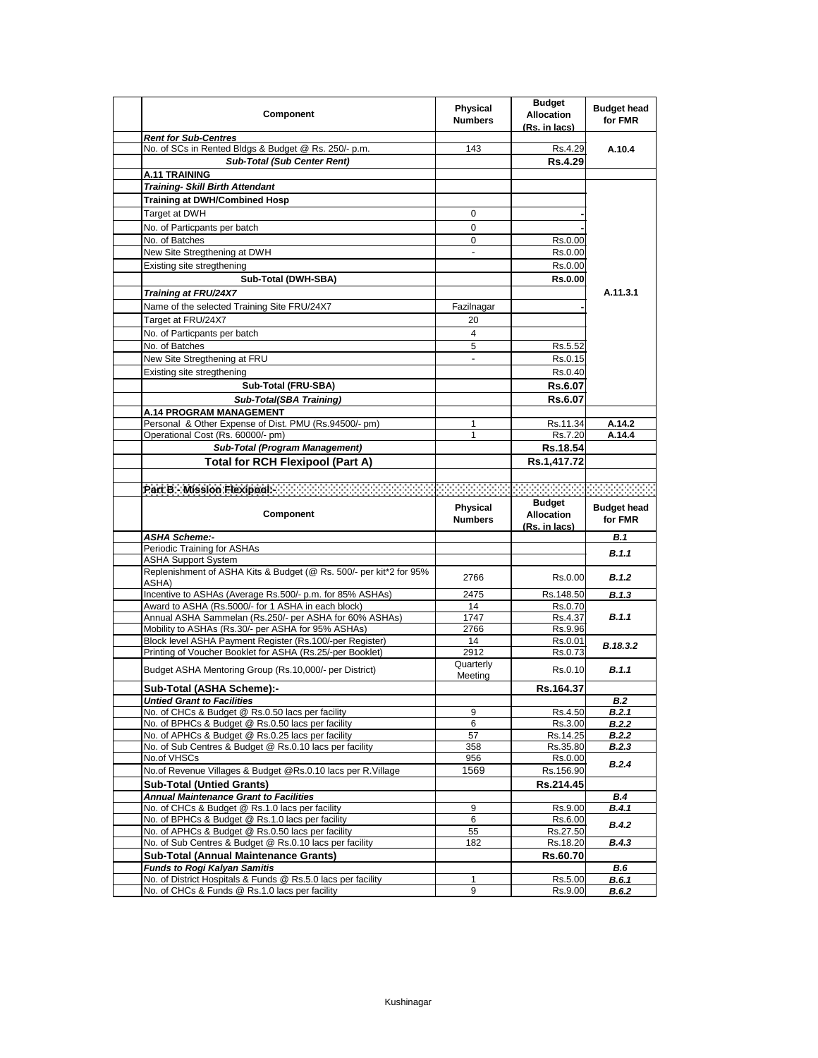| Component                                                                                                      | <b>Physical</b><br><b>Numbers</b> | <b>Budget</b><br><b>Allocation</b><br>(Rs. in lacs) | <b>Budget head</b><br>for FMR |
|----------------------------------------------------------------------------------------------------------------|-----------------------------------|-----------------------------------------------------|-------------------------------|
| <b>Rent for Sub-Centres</b>                                                                                    |                                   |                                                     |                               |
| No. of SCs in Rented Bldgs & Budget @ Rs. 250/- p.m.                                                           | 143                               | Rs.4.29                                             | A.10.4                        |
| <b>Sub-Total (Sub Center Rent)</b>                                                                             |                                   | Rs.4.29                                             |                               |
| <b>A.11 TRAINING</b>                                                                                           |                                   |                                                     |                               |
| <b>Training- Skill Birth Attendant</b>                                                                         |                                   |                                                     |                               |
| <b>Training at DWH/Combined Hosp</b>                                                                           |                                   |                                                     |                               |
| Target at DWH                                                                                                  | 0                                 |                                                     |                               |
| No. of Particpants per batch                                                                                   | $\mathbf 0$                       |                                                     |                               |
| No. of Batches                                                                                                 | 0                                 | Rs.0.00                                             |                               |
| New Site Stregthening at DWH                                                                                   |                                   | Rs.0.00                                             |                               |
| Existing site stregthening                                                                                     |                                   | Rs.0.00                                             |                               |
| Sub-Total (DWH-SBA)                                                                                            |                                   | <b>Rs.0.00</b>                                      |                               |
| Training at FRU/24X7                                                                                           |                                   |                                                     | A.11.3.1                      |
| Name of the selected Training Site FRU/24X7                                                                    | Fazilnagar                        |                                                     |                               |
| Target at FRU/24X7                                                                                             | 20                                |                                                     |                               |
| No. of Particpants per batch                                                                                   | 4                                 |                                                     |                               |
| No. of Batches                                                                                                 | 5                                 | Rs.5.52                                             |                               |
| New Site Stregthening at FRU                                                                                   | -                                 | Rs.0.15                                             |                               |
|                                                                                                                |                                   |                                                     |                               |
| Existing site stregthening                                                                                     |                                   | Rs.0.40                                             |                               |
| Sub-Total (FRU-SBA)                                                                                            |                                   | Rs.6.07                                             |                               |
| <b>Sub-Total(SBA Training)</b>                                                                                 |                                   | Rs.6.07                                             |                               |
| <b>A.14 PROGRAM MANAGEMENT</b>                                                                                 |                                   |                                                     |                               |
| Personal & Other Expense of Dist. PMU (Rs.94500/- pm)                                                          | 1<br>1                            | Rs.11.34                                            | A.14.2                        |
| Operational Cost (Rs. 60000/- pm)<br>Sub-Total (Program Management)                                            |                                   | Rs.7.20<br>Rs.18.54                                 | A.14.4                        |
|                                                                                                                |                                   |                                                     |                               |
| <b>Total for RCH Flexipool (Part A)</b>                                                                        |                                   | Rs.1,417.72                                         |                               |
|                                                                                                                |                                   |                                                     |                               |
| Part Bel Mission Plexipodic Conduction Conduction Conduction Conduction Conduction Conduction                  |                                   |                                                     |                               |
|                                                                                                                |                                   |                                                     |                               |
| Component                                                                                                      | Physical<br><b>Numbers</b>        | <b>Budget</b><br><b>Allocation</b>                  | <b>Budget head</b><br>for FMR |
| <b>ASHA Scheme:-</b>                                                                                           |                                   | (Rs. in lacs)                                       | <b>B.1</b>                    |
| Periodic Training for ASHAs                                                                                    |                                   |                                                     |                               |
| <b>ASHA Support System</b>                                                                                     |                                   |                                                     | B.1.1                         |
| Replenishment of ASHA Kits & Budget (@ Rs. 500/- per kit*2 for 95%                                             | 2766                              | Rs.0.00                                             | B.1.2                         |
| ASHA)                                                                                                          |                                   |                                                     |                               |
| Incentive to ASHAs (Average Rs.500/- p.m. for 85% ASHAs)<br>Award to ASHA (Rs.5000/- for 1 ASHA in each block) | 2475<br>14                        | Rs.148.50<br>Rs.0.70                                | B.1.3                         |
| Annual ASHA Sammelan (Rs.250/- per ASHA for 60% ASHAs)                                                         | 1747                              | Rs.4.37                                             | B.1.1                         |
| Mobility to ASHAs (Rs.30/- per ASHA for 95% ASHAs)                                                             | 2766                              | Rs.9.96                                             |                               |
| Block level ASHA Payment Register (Rs.100/-per Register)                                                       | 14                                | Rs.0.01                                             |                               |
| Printing of Voucher Booklet for ASHA (Rs.25/-per Booklet)                                                      | 2912                              | Rs.0.73                                             | B.18.3.2                      |
| Budget ASHA Mentoring Group (Rs.10,000/- per District)                                                         | Quarterly<br>Meeting              | Rs.0.10                                             | B.1.1                         |
| Sub-Total (ASHA Scheme):-                                                                                      |                                   | Rs.164.37                                           |                               |
| <b>Untied Grant to Facilities</b>                                                                              |                                   |                                                     | <b>B.2</b>                    |
| No. of CHCs & Budget @ Rs.0.50 lacs per facility                                                               | 9                                 | Rs.4.50                                             | B.2.1                         |
| No. of BPHCs & Budget @ Rs.0.50 lacs per facility                                                              | 6                                 | Rs.3.00                                             | <b>B.2.2</b>                  |
| No. of APHCs & Budget @ Rs.0.25 lacs per facility                                                              | 57                                | Rs.14.25                                            | <b>B.2.2</b>                  |
| No. of Sub Centres & Budget @ Rs.0.10 lacs per facility                                                        | 358                               | Rs.35.80                                            | B.2.3                         |
| No.of VHSCs                                                                                                    | 956                               | Rs.0.00                                             | B.2.4                         |
| No.of Revenue Villages & Budget @Rs.0.10 lacs per R.Village                                                    | 1569                              | Rs.156.90                                           |                               |
| <b>Sub-Total (Untied Grants)</b>                                                                               |                                   | Rs.214.45                                           |                               |
| <b>Annual Maintenance Grant to Facilities</b>                                                                  |                                   |                                                     | <b>B.4</b>                    |
| No. of CHCs & Budget @ Rs.1.0 lacs per facility                                                                | 9                                 | Rs.9.00                                             | <b>B.4.1</b>                  |
| No. of BPHCs & Budget @ Rs.1.0 lacs per facility                                                               | 6                                 | Rs.6.00                                             | <b>B.4.2</b>                  |
| No. of APHCs & Budget @ Rs.0.50 lacs per facility                                                              | 55                                | Rs.27.50                                            |                               |
| No. of Sub Centres & Budget @ Rs.0.10 lacs per facility                                                        | 182                               | Rs.18.20                                            | <b>B.4.3</b>                  |
| <b>Sub-Total (Annual Maintenance Grants)</b>                                                                   |                                   | Rs.60.70                                            |                               |
| <b>Funds to Rogi Kalyan Samitis</b><br>No. of District Hospitals & Funds @ Rs.5.0 lacs per facility            | 1                                 | Rs.5.00                                             | <b>B.6</b><br><b>B.6.1</b>    |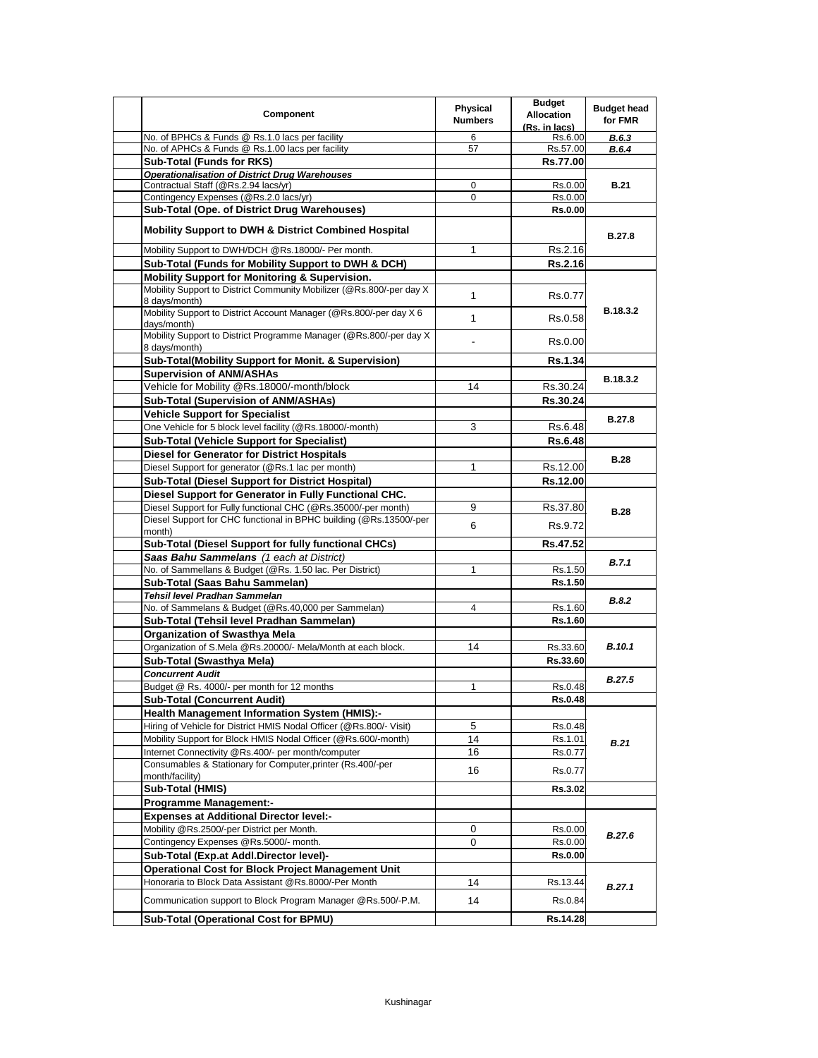| Component                                                                              | Physical<br><b>Numbers</b> | <b>Budget</b><br><b>Allocation</b><br>(Rs. in lacs) | <b>Budget head</b><br>for FMR |
|----------------------------------------------------------------------------------------|----------------------------|-----------------------------------------------------|-------------------------------|
| No. of BPHCs & Funds @ Rs.1.0 lacs per facility                                        | 6                          | Rs.6.00                                             | <b>B.6.3</b>                  |
| No. of APHCs & Funds @ Rs.1.00 lacs per facility                                       | 57                         | Rs.57.00                                            | B.6.4                         |
| <b>Sub-Total (Funds for RKS)</b>                                                       |                            | <b>Rs.77.00</b>                                     |                               |
| <b>Operationalisation of District Drug Warehouses</b>                                  |                            |                                                     |                               |
| Contractual Staff (@Rs.2.94 lacs/yr)                                                   | 0                          | Rs.0.00                                             | <b>B.21</b>                   |
| Contingency Expenses (@Rs.2.0 lacs/yr)                                                 | 0                          | Rs.0.00                                             |                               |
| Sub-Total (Ope. of District Drug Warehouses)                                           |                            | <b>Rs.0.00</b>                                      |                               |
| <b>Mobility Support to DWH &amp; District Combined Hospital</b>                        |                            |                                                     | <b>B.27.8</b>                 |
| Mobility Support to DWH/DCH @Rs.18000/- Per month.                                     | 1                          | Rs.2.16                                             |                               |
| Sub-Total (Funds for Mobility Support to DWH & DCH)                                    |                            | Rs.2.16                                             |                               |
| <b>Mobility Support for Monitoring &amp; Supervision.</b>                              |                            |                                                     |                               |
| Mobility Support to District Community Mobilizer (@Rs.800/-per day X)<br>8 days/month) | $\mathbf{1}$               | Rs.0.77                                             |                               |
| Mobility Support to District Account Manager (@Rs.800/-per day X 6<br>days/month)      | $\mathbf{1}$               | Rs.0.58                                             | B.18.3.2                      |
| Mobility Support to District Programme Manager (@Rs.800/-per day X)<br>8 days/month)   |                            | Rs.0.00                                             |                               |
| Sub-Total(Mobility Support for Monit. & Supervision)                                   |                            | <b>Rs.1.34</b>                                      |                               |
| <b>Supervision of ANM/ASHAs</b>                                                        |                            |                                                     | <b>B.18.3.2</b>               |
| Vehicle for Mobility @Rs.18000/-month/block                                            | 14                         | Rs.30.24                                            |                               |
| Sub-Total (Supervision of ANM/ASHAs)                                                   |                            | Rs.30.24                                            |                               |
| <b>Vehicle Support for Specialist</b>                                                  |                            |                                                     | <b>B.27.8</b>                 |
| One Vehicle for 5 block level facility (@Rs.18000/-month)                              | 3                          | Rs.6.48                                             |                               |
| <b>Sub-Total (Vehicle Support for Specialist)</b>                                      |                            | <b>Rs.6.48</b>                                      |                               |
| <b>Diesel for Generator for District Hospitals</b>                                     |                            |                                                     |                               |
| Diesel Support for generator (@Rs.1 lac per month)                                     | 1                          | Rs.12.00                                            | <b>B.28</b>                   |
| <b>Sub-Total (Diesel Support for District Hospital)</b>                                |                            | Rs.12.00                                            |                               |
| Diesel Support for Generator in Fully Functional CHC.                                  |                            |                                                     |                               |
| Diesel Support for Fully functional CHC (@Rs.35000/-per month)                         | 9                          | Rs.37.80                                            | <b>B.28</b>                   |
| Diesel Support for CHC functional in BPHC building (@Rs.13500/-per                     | 6                          | Rs.9.72                                             |                               |
| month)                                                                                 |                            |                                                     |                               |
| Sub-Total (Diesel Support for fully functional CHCs)                                   |                            | Rs.47.52                                            |                               |
| Saas Bahu Sammelans (1 each at District)                                               |                            |                                                     | B.7.1                         |
| No. of Sammellans & Budget (@Rs. 1.50 lac. Per District)                               | 1                          | Rs.1.50                                             |                               |
| Sub-Total (Saas Bahu Sammelan)                                                         |                            | Rs.1.50                                             |                               |
| Tehsil level Pradhan Sammelan                                                          |                            |                                                     | <b>B.8.2</b>                  |
| No. of Sammelans & Budget (@Rs.40,000 per Sammelan)                                    | 4                          | Rs.1.60                                             |                               |
| Sub-Total (Tehsil level Pradhan Sammelan)                                              |                            | Rs.1.60                                             |                               |
| Organization of Swasthya Mela                                                          |                            |                                                     |                               |
| Organization of S.Mela @Rs.20000/- Mela/Month at each block.                           | 14                         | Rs.33.60                                            | <b>B.10.1</b>                 |
| Sub-Total (Swasthya Mela)                                                              |                            | Rs.33.60                                            |                               |
| <b>Concurrent Audit</b>                                                                |                            |                                                     | <b>B.27.5</b>                 |
| Budget @ Rs. 4000/- per month for 12 months                                            | $\mathbf{1}$               | Rs.0.48                                             |                               |
| <b>Sub-Total (Concurrent Audit)</b>                                                    |                            | <b>Rs.0.48</b>                                      |                               |
| <b>Health Management Information System (HMIS):-</b>                                   |                            |                                                     |                               |
| Hiring of Vehicle for District HMIS Nodal Officer (@Rs.800/- Visit)                    | 5                          | Rs.0.48                                             |                               |
| Mobility Support for Block HMIS Nodal Officer (@Rs.600/-month)                         | 14                         | Rs.1.01                                             | B.21                          |
| Internet Connectivity @Rs.400/- per month/computer                                     | 16                         | Rs.0.77                                             |                               |
| Consumables & Stationary for Computer, printer (Rs.400/-per<br>month/facility)         | 16                         | Rs.0.77                                             |                               |
| Sub-Total (HMIS)                                                                       |                            | Rs.3.02                                             |                               |
| <b>Programme Management:-</b>                                                          |                            |                                                     |                               |
| <b>Expenses at Additional Director level:-</b>                                         |                            |                                                     |                               |
| Mobility @Rs.2500/-per District per Month.                                             | 0                          | Rs.0.00                                             | <b>B.27.6</b>                 |
| Contingency Expenses @Rs.5000/- month.                                                 | 0                          | Rs.0.00                                             |                               |
| Sub-Total (Exp.at Addl.Director level)-                                                |                            | <b>Rs.0.00</b>                                      |                               |
| Operational Cost for Block Project Management Unit                                     |                            |                                                     |                               |
| Honoraria to Block Data Assistant @Rs.8000/-Per Month                                  | 14                         | Rs.13.44                                            | B.27.1                        |
|                                                                                        |                            |                                                     |                               |
| Communication support to Block Program Manager @Rs.500/-P.M.                           | 14                         | Rs.0.84                                             |                               |
| Sub-Total (Operational Cost for BPMU)                                                  |                            | Rs.14.28                                            |                               |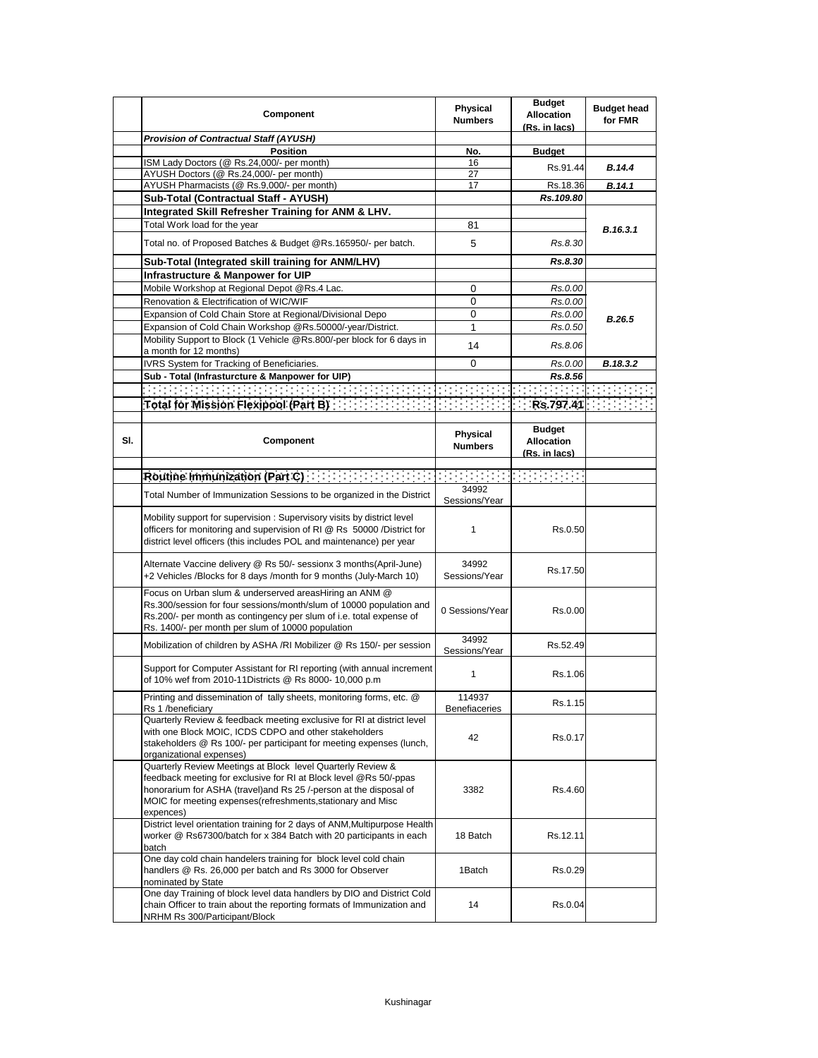|     | Component                                                                                                                                                                                                                                                                           | <b>Physical</b><br><b>Numbers</b> | <b>Budget</b><br><b>Allocation</b><br>(Rs. in lacs)                                                                                                                                                                       | <b>Budget head</b><br>for FMR |
|-----|-------------------------------------------------------------------------------------------------------------------------------------------------------------------------------------------------------------------------------------------------------------------------------------|-----------------------------------|---------------------------------------------------------------------------------------------------------------------------------------------------------------------------------------------------------------------------|-------------------------------|
|     | <b>Provision of Contractual Staff (AYUSH)</b>                                                                                                                                                                                                                                       |                                   |                                                                                                                                                                                                                           |                               |
|     | <b>Position</b>                                                                                                                                                                                                                                                                     | No.                               | <b>Budget</b>                                                                                                                                                                                                             |                               |
|     | ISM Lady Doctors (@ Rs.24,000/- per month)                                                                                                                                                                                                                                          | 16                                | Rs.91.44                                                                                                                                                                                                                  | <b>B.14.4</b>                 |
|     | AYUSH Doctors (@ Rs.24,000/- per month)                                                                                                                                                                                                                                             | 27                                |                                                                                                                                                                                                                           |                               |
|     | AYUSH Pharmacists (@ Rs.9,000/- per month)                                                                                                                                                                                                                                          | 17                                | Rs.18.36                                                                                                                                                                                                                  | B.14.1                        |
|     | Sub-Total (Contractual Staff - AYUSH)                                                                                                                                                                                                                                               |                                   | Rs.109.80                                                                                                                                                                                                                 |                               |
|     | Integrated Skill Refresher Training for ANM & LHV.                                                                                                                                                                                                                                  |                                   |                                                                                                                                                                                                                           |                               |
|     | Total Work load for the year                                                                                                                                                                                                                                                        | 81                                |                                                                                                                                                                                                                           | B.16.3.1                      |
|     | Total no. of Proposed Batches & Budget @Rs.165950/- per batch.                                                                                                                                                                                                                      | 5                                 | Rs.8.30                                                                                                                                                                                                                   |                               |
|     | Sub-Total (Integrated skill training for ANM/LHV)                                                                                                                                                                                                                                   |                                   | Rs.8.30                                                                                                                                                                                                                   |                               |
|     | Infrastructure & Manpower for UIP                                                                                                                                                                                                                                                   |                                   |                                                                                                                                                                                                                           |                               |
|     | Mobile Workshop at Regional Depot @Rs.4 Lac.                                                                                                                                                                                                                                        | 0                                 | Rs.0.00                                                                                                                                                                                                                   |                               |
|     | Renovation & Electrification of WIC/WIF                                                                                                                                                                                                                                             | 0                                 | Rs.0.00                                                                                                                                                                                                                   |                               |
|     | Expansion of Cold Chain Store at Regional/Divisional Depo                                                                                                                                                                                                                           | 0                                 | Rs.0.00                                                                                                                                                                                                                   | <b>B.26.5</b>                 |
|     | Expansion of Cold Chain Workshop @Rs.50000/-year/District.                                                                                                                                                                                                                          | 1                                 | Rs.0.50                                                                                                                                                                                                                   |                               |
|     | Mobility Support to Block (1 Vehicle @Rs.800/-per block for 6 days in<br>a month for 12 months)                                                                                                                                                                                     | 14                                | Rs.8.06                                                                                                                                                                                                                   |                               |
|     | IVRS System for Tracking of Beneficiaries.                                                                                                                                                                                                                                          | 0                                 | Rs.0.00                                                                                                                                                                                                                   | B.18.3.2                      |
|     | Sub - Total (Infrasturcture & Manpower for UIP)                                                                                                                                                                                                                                     |                                   | Rs.8.56                                                                                                                                                                                                                   |                               |
|     |                                                                                                                                                                                                                                                                                     |                                   |                                                                                                                                                                                                                           |                               |
|     | Total for Mission Flexipool (Part B)                                                                                                                                                                                                                                                |                                   |                                                                                                                                                                                                                           | Rs.797.41 <b>Res.</b>         |
|     |                                                                                                                                                                                                                                                                                     |                                   |                                                                                                                                                                                                                           |                               |
| SI. | Component                                                                                                                                                                                                                                                                           | Physical<br><b>Numbers</b>        | <b>Budget</b><br><b>Allocation</b><br>(Rs. in lacs)                                                                                                                                                                       |                               |
|     |                                                                                                                                                                                                                                                                                     |                                   |                                                                                                                                                                                                                           |                               |
|     |                                                                                                                                                                                                                                                                                     | <u>e e stat</u>                   | $\mathcal{L}^{\mathcal{L}}_{\mathcal{L}}$ , $\mathcal{L}^{\mathcal{L}}_{\mathcal{L}}$ , $\mathcal{L}^{\mathcal{L}}_{\mathcal{L}}$ , $\mathcal{L}^{\mathcal{L}}_{\mathcal{L}}$ , $\mathcal{L}^{\mathcal{L}}_{\mathcal{L}}$ |                               |
|     | Total Number of Immunization Sessions to be organized in the District                                                                                                                                                                                                               | 34992<br>Sessions/Year            |                                                                                                                                                                                                                           |                               |
|     | Mobility support for supervision: Supervisory visits by district level<br>officers for monitoring and supervision of RI @ Rs 50000 /District for<br>district level officers (this includes POL and maintenance) per year                                                            | 1                                 | Rs.0.50                                                                                                                                                                                                                   |                               |
|     | Alternate Vaccine delivery @ Rs 50/- sessionx 3 months (April-June)<br>+2 Vehicles /Blocks for 8 days /month for 9 months (July-March 10)                                                                                                                                           | 34992<br>Sessions/Year            | Rs.17.50                                                                                                                                                                                                                  |                               |
|     | Focus on Urban slum & underserved areasHiring an ANM @<br>Rs.300/session for four sessions/month/slum of 10000 population and<br>Rs.200/- per month as contingency per slum of i.e. total expense of<br>Rs. 1400/- per month per slum of 10000 population                           | 0 Sessions/Year                   | Rs.0.00                                                                                                                                                                                                                   |                               |
|     | Mobilization of children by ASHA /RI Mobilizer @ Rs 150/- per session                                                                                                                                                                                                               | 34992<br>Sessions/Year            | Rs.52.49                                                                                                                                                                                                                  |                               |
|     | Support for Computer Assistant for RI reporting (with annual increment<br>of 10% wef from 2010-11Districts @ Rs 8000- 10,000 p.m                                                                                                                                                    | 1                                 | Rs.1.06                                                                                                                                                                                                                   |                               |
|     | Printing and dissemination of $\,$ tally sheets, monitoring forms, etc. $\,\circ\!\!\:\circ\!\!\:\,$<br>Rs 1 /beneficiary                                                                                                                                                           | 114937<br><b>Benefiaceries</b>    | Rs.1.15                                                                                                                                                                                                                   |                               |
|     | Quarterly Review & feedback meeting exclusive for RI at district level<br>with one Block MOIC, ICDS CDPO and other stakeholders<br>stakeholders @ Rs 100/- per participant for meeting expenses (lunch,<br>organizational expenses)                                                 | 42                                | Rs.0.17                                                                                                                                                                                                                   |                               |
|     | Quarterly Review Meetings at Block level Quarterly Review &<br>feedback meeting for exclusive for RI at Block level @Rs 50/-ppas<br>honorarium for ASHA (travel) and Rs 25 /-person at the disposal of<br>MOIC for meeting expenses (refreshments, stationary and Misc<br>expences) | 3382                              | Rs.4.60                                                                                                                                                                                                                   |                               |
|     | District level orientation training for 2 days of ANM, Multipurpose Health<br>worker @ Rs67300/batch for x 384 Batch with 20 participants in each<br>batch                                                                                                                          | 18 Batch                          | Rs.12.11                                                                                                                                                                                                                  |                               |
|     | One day cold chain handelers training for block level cold chain<br>handlers @ Rs. 26,000 per batch and Rs 3000 for Observer<br>nominated by State                                                                                                                                  | 1Batch                            | Rs.0.29                                                                                                                                                                                                                   |                               |
|     | One day Training of block level data handlers by DIO and District Cold<br>chain Officer to train about the reporting formats of Immunization and<br>NRHM Rs 300/Participant/Block                                                                                                   | 14                                | Rs.0.04                                                                                                                                                                                                                   |                               |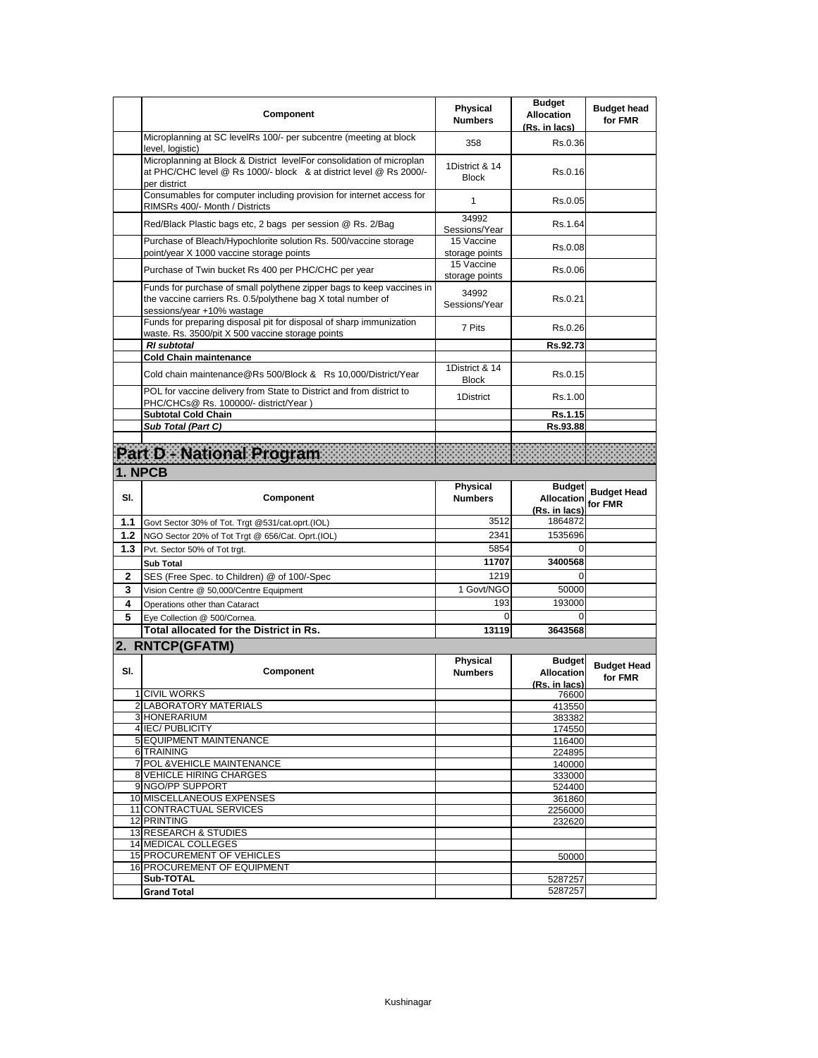|        | Component                                                                                                                                                           | Physical<br><b>Numbers</b>     | <b>Budget</b><br><b>Allocation</b><br>(Rs. in lacs) | <b>Budget head</b><br>for FMR |
|--------|---------------------------------------------------------------------------------------------------------------------------------------------------------------------|--------------------------------|-----------------------------------------------------|-------------------------------|
|        | Microplanning at SC levelRs 100/- per subcentre (meeting at block<br>level, logistic)                                                                               | 358                            | Rs.0.36                                             |                               |
|        | Microplanning at Block & District levelFor consolidation of microplan<br>at PHC/CHC level @ Rs 1000/- block & at district level @ Rs 2000/-<br>per district         | 1District & 14<br><b>Block</b> | Rs.0.16                                             |                               |
|        | Consumables for computer including provision for internet access for<br>RIMSRs 400/- Month / Districts                                                              | 1                              | Rs.0.05                                             |                               |
|        | Red/Black Plastic bags etc, 2 bags per session @ Rs. 2/Bag                                                                                                          | 34992<br>Sessions/Year         | Rs.1.64                                             |                               |
|        | Purchase of Bleach/Hypochlorite solution Rs. 500/vaccine storage<br>point/year X 1000 vaccine storage points                                                        | 15 Vaccine<br>storage points   | Rs.0.08                                             |                               |
|        | Purchase of Twin bucket Rs 400 per PHC/CHC per year                                                                                                                 | 15 Vaccine<br>storage points   | Rs.0.06                                             |                               |
|        | Funds for purchase of small polythene zipper bags to keep vaccines in<br>the vaccine carriers Rs. 0.5/polythene bag X total number of<br>sessions/year +10% wastage | 34992<br>Sessions/Year         | Rs.0.21                                             |                               |
|        | Funds for preparing disposal pit for disposal of sharp immunization<br>waste. Rs. 3500/pit X 500 vaccine storage points                                             | 7 Pits                         | Rs.0.26                                             |                               |
|        | <b>RI</b> subtotal<br><b>Cold Chain maintenance</b>                                                                                                                 |                                | Rs.92.73                                            |                               |
|        | Cold chain maintenance@Rs 500/Block & Rs 10,000/District/Year                                                                                                       | 1District & 14<br><b>Block</b> | Rs.0.15                                             |                               |
|        | POL for vaccine delivery from State to District and from district to<br>PHC/CHCs@ Rs. 100000/- district/Year)                                                       | 1District                      | Rs.1.00                                             |                               |
|        | <b>Subtotal Cold Chain</b>                                                                                                                                          |                                | Rs.1.15                                             |                               |
|        | Sub Total (Part C)                                                                                                                                                  |                                | Rs.93.88                                            |                               |
|        | Part D - National Program                                                                                                                                           |                                |                                                     |                               |
|        | 1. NPCB                                                                                                                                                             |                                |                                                     |                               |
| SI.    | Component                                                                                                                                                           | Physical<br><b>Numbers</b>     | <b>Budget</b><br><b>Allocation</b><br>(Rs. in lacs) | <b>Budget Head</b><br>for FMR |
| 1.1    | Govt Sector 30% of Tot. Trgt @531/cat.oprt.(IOL)                                                                                                                    | 3512                           | 1864872                                             |                               |
| $1.2$  | NGO Sector 20% of Tot Trgt @ 656/Cat. Oprt.(IOL)                                                                                                                    | 2341                           | 1535696                                             |                               |
| 1.3    | Pvt. Sector 50% of Tot trgt.                                                                                                                                        | 5854                           | $\Omega$                                            |                               |
|        | <b>Sub Total</b>                                                                                                                                                    | 11707                          | 3400568                                             |                               |
| 2      | SES (Free Spec. to Children) @ of 100/-Spec                                                                                                                         | 1219                           | $\Omega$                                            |                               |
| 3      | Vision Centre @ 50,000/Centre Equipment                                                                                                                             | 1 Govt/NGO<br>193              | 50000<br>193000                                     |                               |
| 4<br>5 | Operations other than Cataract                                                                                                                                      | 0                              | $\Omega$                                            |                               |
|        | Eye Collection @ 500/Cornea.<br>Total allocated for the District in Rs.                                                                                             | 13119                          | 3643568                                             |                               |
|        | 2. RNTCP(GFATM)                                                                                                                                                     |                                |                                                     |                               |
|        |                                                                                                                                                                     | <b>Physical</b>                | <b>Budget</b>                                       |                               |
| SI.    | Component                                                                                                                                                           | <b>Numbers</b>                 | <b>Allocation</b>                                   | <b>Budget Head</b>            |
|        |                                                                                                                                                                     |                                | (Rs. in lacs)                                       | for FMR                       |
|        | 1 CIVIL WORKS<br>2 LABORATORY MATERIALS                                                                                                                             |                                | 76600                                               |                               |
|        | 3 HONERARIUM                                                                                                                                                        |                                | 413550<br>383382                                    |                               |
|        | 4 IEC/ PUBLICITY                                                                                                                                                    |                                | 174550                                              |                               |
|        | 5 EQUIPMENT MAINTENANCE                                                                                                                                             |                                | 116400                                              |                               |
|        | 6 TRAINING<br>7 POL & VEHICLE MAINTENANCE                                                                                                                           |                                | 224895                                              |                               |
|        | 8 VEHICLE HIRING CHARGES                                                                                                                                            |                                | 140000<br>333000                                    |                               |
|        | 9 NGO/PP SUPPORT                                                                                                                                                    |                                | 524400                                              |                               |
|        | 10 MISCELLANEOUS EXPENSES                                                                                                                                           |                                | 361860                                              |                               |
|        | 11 CONTRACTUAL SERVICES<br>12 PRINTING                                                                                                                              |                                | 2256000<br>232620                                   |                               |
|        | <b>13 RESEARCH &amp; STUDIES</b>                                                                                                                                    |                                |                                                     |                               |
|        | <b>14 MEDICAL COLLEGES</b>                                                                                                                                          |                                |                                                     |                               |
|        | 15 PROCUREMENT OF VEHICLES                                                                                                                                          |                                | 50000                                               |                               |
|        | 16 PROCUREMENT OF EQUIPMENT<br>Sub-TOTAL                                                                                                                            |                                | 5287257                                             |                               |
|        |                                                                                                                                                                     |                                |                                                     |                               |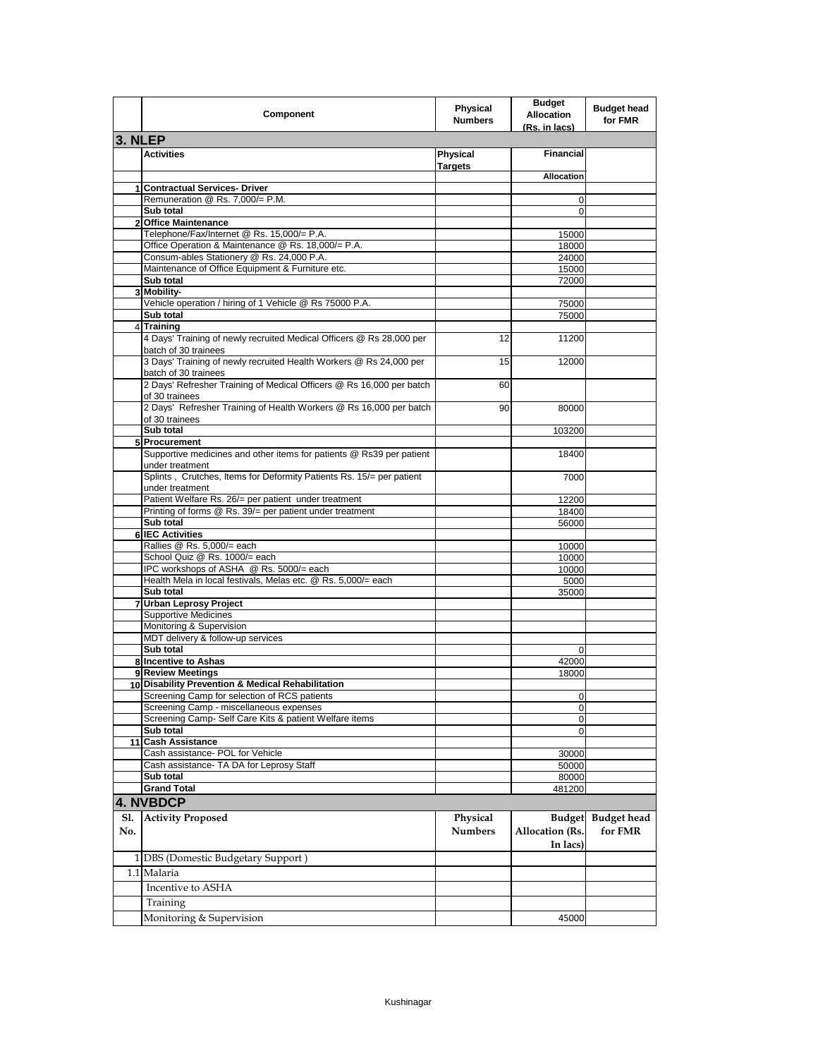|                | Component                                                                                    | Physical<br><b>Numbers</b> | <b>Budget</b><br><b>Allocation</b><br>(Rs. in lacs) | <b>Budget head</b><br>for FMR |
|----------------|----------------------------------------------------------------------------------------------|----------------------------|-----------------------------------------------------|-------------------------------|
| 3. NLEP        |                                                                                              |                            |                                                     |                               |
|                | <b>Activities</b>                                                                            | Physical<br><b>Targets</b> | <b>Financial</b>                                    |                               |
|                |                                                                                              |                            | <b>Allocation</b>                                   |                               |
|                | 1 Contractual Services- Driver                                                               |                            |                                                     |                               |
|                | Remuneration @ Rs. 7,000/= P.M.<br>Sub total                                                 |                            | 0<br>0                                              |                               |
| $\overline{2}$ | <b>Office Maintenance</b>                                                                    |                            |                                                     |                               |
|                | Telephone/Fax/Internet @ Rs. 15,000/= P.A.                                                   |                            | 15000                                               |                               |
|                | Office Operation & Maintenance @ Rs. 18,000/= P.A.                                           |                            | 18000                                               |                               |
|                | Consum-ables Stationery @ Rs. 24,000 P.A.                                                    |                            | 24000                                               |                               |
|                | Maintenance of Office Equipment & Furniture etc.                                             |                            | 15000                                               |                               |
|                | Sub total                                                                                    |                            | 72000                                               |                               |
|                | 3 Mobility-<br>Vehicle operation / hiring of 1 Vehicle @ Rs 75000 P.A.                       |                            | 75000                                               |                               |
|                | Sub total                                                                                    |                            | 75000                                               |                               |
|                | 4 Training                                                                                   |                            |                                                     |                               |
|                | 4 Days' Training of newly recruited Medical Officers @ Rs 28,000 per<br>batch of 30 trainees | 12                         | 11200                                               |                               |
|                | 3 Days' Training of newly recruited Health Workers @ Rs 24,000 per<br>batch of 30 trainees   | 15                         | 12000                                               |                               |
|                | 2 Days' Refresher Training of Medical Officers @ Rs 16,000 per batch<br>of 30 trainees       | 60                         |                                                     |                               |
|                | 2 Days' Refresher Training of Health Workers @ Rs 16,000 per batch<br>of 30 trainees         | 90                         | 80000                                               |                               |
|                | Sub total                                                                                    |                            | 103200                                              |                               |
|                | 5 Procurement                                                                                |                            |                                                     |                               |
|                | Supportive medicines and other items for patients @ Rs39 per patient<br>under treatment      |                            | 18400                                               |                               |
|                | Splints, Crutches, Items for Deformity Patients Rs. 15/= per patient<br>under treatment      |                            | 7000                                                |                               |
|                | Patient Welfare Rs. 26/= per patient under treatment                                         |                            | 12200                                               |                               |
|                | Printing of forms @ Rs. 39/= per patient under treatment                                     |                            | 18400                                               |                               |
|                | Sub total                                                                                    |                            | 56000                                               |                               |
|                | <b>6 IEC Activities</b><br>Rallies @ Rs. 5,000/= each                                        |                            | 10000                                               |                               |
|                | School Quiz @ Rs. 1000/= each                                                                |                            | 10000                                               |                               |
|                | IPC workshops of ASHA @ Rs. 5000/= each                                                      |                            | 10000                                               |                               |
|                | Health Mela in local festivals, Melas etc. @ Rs. 5,000/= each                                |                            | 5000                                                |                               |
|                | Sub total                                                                                    |                            | 35000                                               |                               |
|                | 7 Urban Leprosy Project                                                                      |                            |                                                     |                               |
|                | <b>Supportive Medicines</b>                                                                  |                            |                                                     |                               |
|                | Monitoring & Supervision<br>MDT delivery & follow-up services                                |                            |                                                     |                               |
|                | Sub total                                                                                    |                            | 0                                                   |                               |
|                | 8 Incentive to Ashas                                                                         |                            | 42000                                               |                               |
|                | 9 Review Meetings                                                                            |                            | 18000                                               |                               |
|                | 10 Disability Prevention & Medical Rehabilitation                                            |                            |                                                     |                               |
|                | Screening Camp for selection of RCS patients                                                 |                            | U                                                   |                               |
|                | Screening Camp - miscellaneous expenses                                                      |                            | 0                                                   |                               |
|                | Screening Camp- Self Care Kits & patient Welfare items                                       |                            | 0                                                   |                               |
|                | Sub total<br>11 Cash Assistance                                                              |                            | 0                                                   |                               |
|                | Cash assistance- POL for Vehicle                                                             |                            | 30000                                               |                               |
|                | Cash assistance- TA DA for Leprosy Staff                                                     |                            | 50000                                               |                               |
|                | Sub total                                                                                    |                            | 80000                                               |                               |
|                | <b>Grand Total</b>                                                                           |                            | 481200                                              |                               |
|                | 4. NVBDCP                                                                                    |                            |                                                     |                               |
| Sl.            | <b>Activity Proposed</b>                                                                     | Physical                   | <b>Budget</b>                                       | <b>Budget</b> head            |
| No.            |                                                                                              | <b>Numbers</b>             | <b>Allocation</b> (Rs.                              | for FMR                       |
|                |                                                                                              |                            | In lacs)                                            |                               |
|                | 1 DBS (Domestic Budgetary Support)                                                           |                            |                                                     |                               |
|                | 1.1 Malaria                                                                                  |                            |                                                     |                               |
|                | Incentive to ASHA                                                                            |                            |                                                     |                               |
|                | Training                                                                                     |                            |                                                     |                               |
|                |                                                                                              |                            |                                                     |                               |
|                | Monitoring & Supervision                                                                     |                            | 45000                                               |                               |